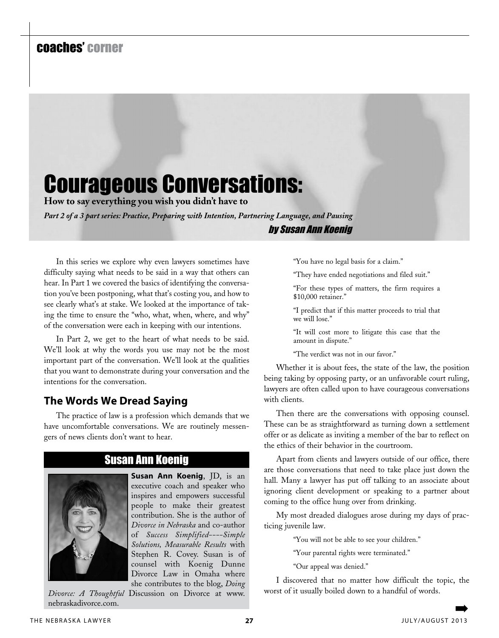## coaches' corner

## Courageous Conversations:

**How to say everything you wish you didn't have to**

*Part 2 of a 3 part series: Practice, Preparing with Intention, Partnering Language, and Pausing* by Susan Ann Koenig

In this series we explore why even lawyers sometimes have difficulty saying what needs to be said in a way that others can hear. In Part 1 we covered the basics of identifying the conversation you've been postponing, what that's costing you, and how to see clearly what's at stake. We looked at the importance of taking the time to ensure the "who, what, when, where, and why" of the conversation were each in keeping with our intentions.

In Part 2, we get to the heart of what needs to be said. We'll look at why the words you use may not be the most important part of the conversation. We'll look at the qualities that you want to demonstrate during your conversation and the intentions for the conversation.

## **The Words We Dread Saying**

The practice of law is a profession which demands that we have uncomfortable conversations. We are routinely messengers of news clients don't want to hear.



## Susan Ann Koenig

**Susan Ann Koenig**, JD, is an executive coach and speaker who inspires and empowers successful people to make their greatest contribution. She is the author of *Divorce in Nebraska* and co-author of *Success Simplified----Simple Solutions, Measurable Results* with Stephen R. Covey. Susan is of counsel with Koenig Dunne Divorce Law in Omaha where she contributes to the blog, *Doing* 

*Divorce: A Thoughtful* Discussion on Divorce at www. nebraskadivorce.com. ➡

"You have no legal basis for a claim."

"They have ended negotiations and filed suit."

"For these types of matters, the firm requires a \$10,000 retainer."

"I predict that if this matter proceeds to trial that we will lose."

"It will cost more to litigate this case that the amount in dispute."

"The verdict was not in our favor."

Whether it is about fees, the state of the law, the position being taking by opposing party, or an unfavorable court ruling, lawyers are often called upon to have courageous conversations with clients.

Then there are the conversations with opposing counsel. These can be as straightforward as turning down a settlement offer or as delicate as inviting a member of the bar to reflect on the ethics of their behavior in the courtroom.

Apart from clients and lawyers outside of our office, there are those conversations that need to take place just down the hall. Many a lawyer has put off talking to an associate about ignoring client development or speaking to a partner about coming to the office hung over from drinking.

My most dreaded dialogues arose during my days of practicing juvenile law.

"You will not be able to see your children."

"Your parental rights were terminated."

"Our appeal was denied."

I discovered that no matter how difficult the topic, the worst of it usually boiled down to a handful of words.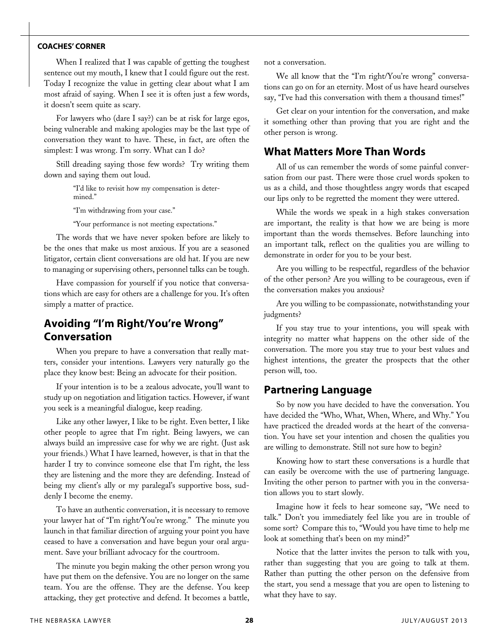#### **coaches' corner**

When I realized that I was capable of getting the toughest sentence out my mouth, I knew that I could figure out the rest. Today I recognize the value in getting clear about what I am most afraid of saying. When I see it is often just a few words, it doesn't seem quite as scary.

For lawyers who (dare I say?) can be at risk for large egos, being vulnerable and making apologies may be the last type of conversation they want to have. These, in fact, are often the simplest: I was wrong. I'm sorry. What can I do?

Still dreading saying those few words? Try writing them down and saying them out loud.

> "I'd like to revisit how my compensation is determined."

"I'm withdrawing from your case."

"Your performance is not meeting expectations."

The words that we have never spoken before are likely to be the ones that make us most anxious. If you are a seasoned litigator, certain client conversations are old hat. If you are new to managing or supervising others, personnel talks can be tough.

Have compassion for yourself if you notice that conversations which are easy for others are a challenge for you. It's often simply a matter of practice.

## **Avoiding "I'm Right/You're Wrong" Conversation**

When you prepare to have a conversation that really matters, consider your intentions. Lawyers very naturally go the place they know best: Being an advocate for their position.

If your intention is to be a zealous advocate, you'll want to study up on negotiation and litigation tactics. However, if want you seek is a meaningful dialogue, keep reading.

Like any other lawyer, I like to be right. Even better, I like other people to agree that I'm right. Being lawyers, we can always build an impressive case for why we are right. (Just ask your friends.) What I have learned, however, is that in that the harder I try to convince someone else that I'm right, the less they are listening and the more they are defending. Instead of being my client's ally or my paralegal's supportive boss, suddenly I become the enemy.

To have an authentic conversation, it is necessary to remove your lawyer hat of "I'm right/You're wrong." The minute you launch in that familiar direction of arguing your point you have ceased to have a conversation and have begun your oral argument. Save your brilliant advocacy for the courtroom.

The minute you begin making the other person wrong you have put them on the defensive. You are no longer on the same team. You are the offense. They are the defense. You keep attacking, they get protective and defend. It becomes a battle, not a conversation.

We all know that the "I'm right/You're wrong" conversations can go on for an eternity. Most of us have heard ourselves say, "I've had this conversation with them a thousand times!"

Get clear on your intention for the conversation, and make it something other than proving that you are right and the other person is wrong.

#### **What Matters More Than Words**

All of us can remember the words of some painful conversation from our past. There were those cruel words spoken to us as a child, and those thoughtless angry words that escaped our lips only to be regretted the moment they were uttered.

While the words we speak in a high stakes conversation are important, the reality is that how we are being is more important than the words themselves. Before launching into an important talk, reflect on the qualities you are willing to demonstrate in order for you to be your best.

Are you willing to be respectful, regardless of the behavior of the other person? Are you willing to be courageous, even if the conversation makes you anxious?

Are you willing to be compassionate, notwithstanding your judgments?

If you stay true to your intentions, you will speak with integrity no matter what happens on the other side of the conversation. The more you stay true to your best values and highest intentions, the greater the prospects that the other person will, too.

#### **Partnering Language**

So by now you have decided to have the conversation. You have decided the "Who, What, When, Where, and Why." You have practiced the dreaded words at the heart of the conversation. You have set your intention and chosen the qualities you are willing to demonstrate. Still not sure how to begin?

Knowing how to start these conversations is a hurdle that can easily be overcome with the use of partnering language. Inviting the other person to partner with you in the conversation allows you to start slowly.

Imagine how it feels to hear someone say, "We need to talk." Don't you immediately feel like you are in trouble of some sort? Compare this to, "Would you have time to help me look at something that's been on my mind?"

Notice that the latter invites the person to talk with you, rather than suggesting that you are going to talk at them. Rather than putting the other person on the defensive from the start, you send a message that you are open to listening to what they have to say.